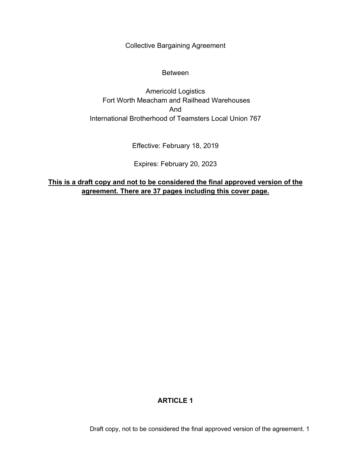Collective Bargaining Agreement

#### Between

Americold Logistics Fort Worth Meacham and Railhead Warehouses And International Brotherhood of Teamsters Local Union 767

Effective: February 18, 2019

Expires: February 20, 2023

**This is a draft copy and not to be considered the final approved version of the agreement. There are 37 pages including this cover page.**

## **ARTICLE 1**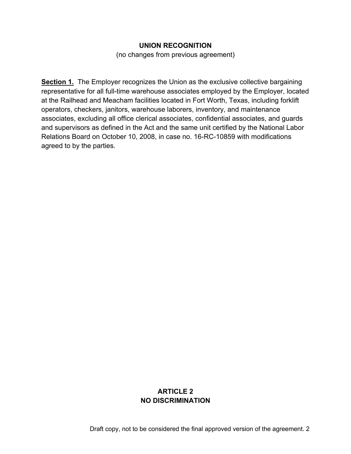#### **UNION RECOGNITION**

(no changes from previous agreement)

**Section 1.** The Employer recognizes the Union as the exclusive collective bargaining representative for all full-time warehouse associates employed by the Employer, located at the Railhead and Meacham facilities located in Fort Worth, Texas, including forklift operators, checkers, janitors, warehouse laborers, inventory, and maintenance associates, excluding all office clerical associates, confidential associates, and guards and supervisors as defined in the Act and the same unit certified by the National Labor Relations Board on October 10, 2008, in case no. 16-RC-10859 with modifications agreed to by the parties.

### **ARTICLE 2 NO DISCRIMINATION**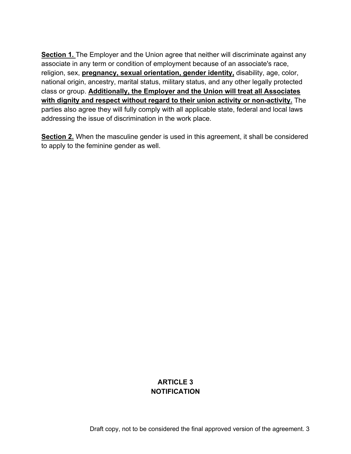**Section 1.** The Employer and the Union agree that neither will discriminate against any associate in any term or condition of employment because of an associate's race, religion, sex, **pregnancy, sexual orientation, gender identity,** disability, age, color, national origin, ancestry, marital status, military status, and any other legally protected class or group. **Additionally, the Employer and the Union will treat all Associates with dignity and respect without regard to their union activity or non-activity.** The parties also agree they will fully comply with all applicable state, federal and local laws addressing the issue of discrimination in the work place.

**Section 2.** When the masculine gender is used in this agreement, it shall be considered to apply to the feminine gender as well.

### **ARTICLE 3 NOTIFICATION**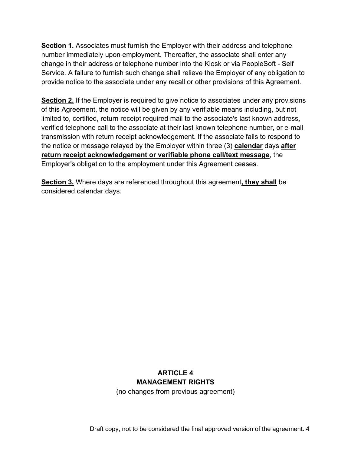**Section 1.** Associates must furnish the Employer with their address and telephone number immediately upon employment. Thereafter, the associate shall enter any change in their address or telephone number into the Kiosk or via PeopleSoft - Self Service. A failure to furnish such change shall relieve the Employer of any obligation to provide notice to the associate under any recall or other provisions of this Agreement.

**Section 2.** If the Employer is required to give notice to associates under any provisions of this Agreement, the notice will be given by any verifiable means including, but not limited to, certified, return receipt required mail to the associate's last known address, verified telephone call to the associate at their last known telephone number, or e-mail transmission with return receipt acknowledgement. If the associate fails to respond to the notice or message relayed by the Employer within three (3) **calendar** days **after return receipt acknowledgement or verifiable phone call/text message**, the Employer's obligation to the employment under this Agreement ceases.

**Section 3.** Where days are referenced throughout this agreement**, they shall** be considered calendar days.

# **ARTICLE 4 MANAGEMENT RIGHTS**

(no changes from previous agreement)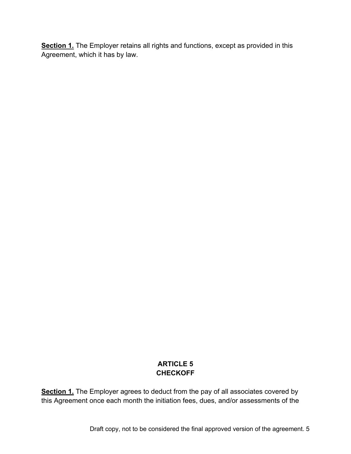**Section 1.** The Employer retains all rights and functions, except as provided in this Agreement, which it has by law.

## **ARTICLE 5 CHECKOFF**

**Section 1.** The Employer agrees to deduct from the pay of all associates covered by this Agreement once each month the initiation fees, dues, and/or assessments of the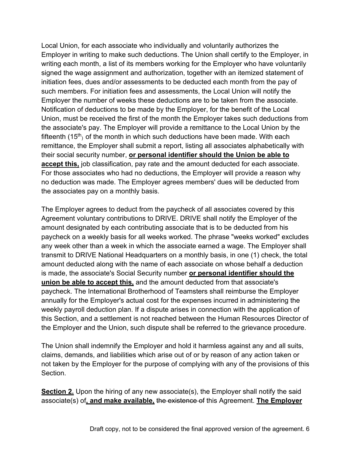Local Union, for each associate who individually and voluntarily authorizes the Employer in writing to make such deductions. The Union shall certify to the Employer, in writing each month, a list of its members working for the Employer who have voluntarily signed the wage assignment and authorization, together with an itemized statement of initiation fees, dues and/or assessments to be deducted each month from the pay of such members. For initiation fees and assessments, the Local Union will notify the Employer the number of weeks these deductions are to be taken from the associate. Notification of deductions to be made by the Employer, for the benefit of the Local Union, must be received the first of the month the Employer takes such deductions from the associate's pay. The Employer will provide a remittance to the Local Union by the fifteenth  $(15<sup>th</sup>)$  of the month in which such deductions have been made. With each remittance, the Employer shall submit a report, listing all associates alphabetically with their social security number, **or personal identifier should the Union be able to accept this,** job classification, pay rate and the amount deducted for each associate. For those associates who had no deductions, the Employer will provide a reason why no deduction was made. The Employer agrees members' dues will be deducted from the associates pay on a monthly basis.

The Employer agrees to deduct from the paycheck of all associates covered by this Agreement voluntary contributions to DRIVE. DRIVE shall notify the Employer of the amount designated by each contributing associate that is to be deducted from his paycheck on a weekly basis for all weeks worked. The phrase "weeks worked" excludes any week other than a week in which the associate earned a wage. The Employer shall transmit to DRIVE National Headquarters on a monthly basis, in one (1) check, the total amount deducted along with the name of each associate on whose behalf a deduction is made, the associate's Social Security number **or personal identifier should the union be able to accept this,** and the amount deducted from that associate's paycheck. The International Brotherhood of Teamsters shall reimburse the Employer annually for the Employer's actual cost for the expenses incurred in administering the weekly payroll deduction plan. If a dispute arises in connection with the application of this Section, and a settlement is not reached between the Human Resources Director of the Employer and the Union, such dispute shall be referred to the grievance procedure.

The Union shall indemnify the Employer and hold it harmless against any and all suits, claims, demands, and liabilities which arise out of or by reason of any action taken or not taken by the Employer for the purpose of complying with any of the provisions of this Section.

**Section 2.** Upon the hiring of any new associate(s), the Employer shall notify the said associate(s) of**, and make available,** the existence of this Agreement. **The Employer**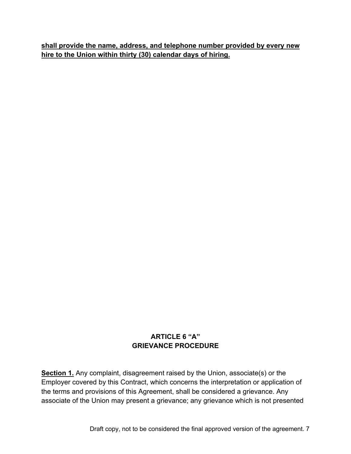**shall provide the name, address, and telephone number provided by every new hire to the Union within thirty (30) calendar days of hiring.**

## **ARTICLE 6 "A" GRIEVANCE PROCEDURE**

**Section 1.** Any complaint, disagreement raised by the Union, associate(s) or the Employer covered by this Contract, which concerns the interpretation or application of the terms and provisions of this Agreement, shall be considered a grievance. Any associate of the Union may present a grievance; any grievance which is not presented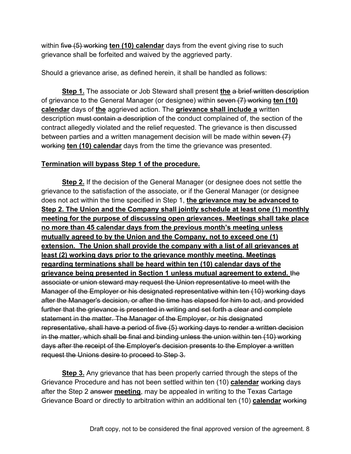within five (5) working **ten (10) calendar** days from the event giving rise to such grievance shall be forfeited and waived by the aggrieved party.

Should a grievance arise, as defined herein, it shall be handled as follows:

**Step 1.** The associate or Job Steward shall present the a brief written description of grievance to the General Manager (or designee) within seven (7) working **ten (10) calendar** days of **the** aggrieved action. The **grievance shall include a** written description must contain a description of the conduct complained of, the section of the contract allegedly violated and the relief requested. The grievance is then discussed between parties and a written management decision will be made within seven  $(7)$ working **ten (10) calendar** days from the time the grievance was presented.

### **Termination will bypass Step 1 of the procedure.**

**Step 2.** If the decision of the General Manager (or designee does not settle the grievance to the satisfaction of the associate, or if the General Manager (or designee does not act within the time specified in Step 1, **the grievance may be advanced to Step 2. The Union and the Company shall jointly schedule at least one (1) monthly meeting for the purpose of discussing open grievances. Meetings shall take place no more than 45 calendar days from the previous month's meeting unless mutually agreed to by the Union and the Company, not to exceed one (1) extension. The Union shall provide the company with a list of all grievances at least (2) working days prior to the grievance monthly meeting. Meetings regarding terminations shall be heard within ten (10) calendar days of the grievance being presented in Section 1 unless mutual agreement to extend.** the associate or union steward may request the Union representative to meet with the Manager of the Employer or his designated representative within ten (10) working days after the Manager's decision, or after the time has elapsed for him to act, and provided further that the grievance is presented in writing and set forth a clear and complete statement in the matter. The Manager of the Employer, or his designated representative, shall have a period of five (5) working days to render a written decision in the matter, which shall be final and binding unless the union within ten (10) working days after the receipt of the Employer's decision presents to the Employer a written request the Unions desire to proceed to Step 3.

**Step 3.** Any grievance that has been properly carried through the steps of the Grievance Procedure and has not been settled within ten (10) **calendar** working days after the Step 2 answer **meeting**, may be appealed in writing to the Texas Cartage Grievance Board or directly to arbitration within an additional ten (10) **calendar** working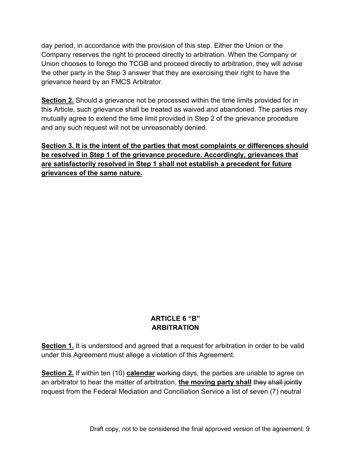day period, in accordance with the provision of this step. Either the Union or the Company reserves the right to proceed directly to arbitration. When the Company or Union chooses to forego the TCGB and proceed directly to arbitration, they will advise the other party in the Step 3 answer that they are exercising their right to have the grievance heard by an FMCS Arbitrator.

**Section 2.** Should a grievance not be processed within the time limits provided for in this Article, such grievance shall be treated as waived and abandoned. The parties may mutually agree to extend the time limit provided in Step 2 of the grievance procedure and any such request will not be unreasonably denied.

**Section 3. It is the intent of the parties that most complaints or differences should be resolved in Step 1 of the grievance procedure. Accordingly, grievances that are satisfactorily resolved in Step 1 shall not establish a precedent for future grievances of the same nature.**

### **ARTICLE 6 "B" ARBITRATION**

**Section 1.** It is understood and agreed that a request for arbitration in order to be valid under this Agreement must allege a violation of this Agreement.

**Section 2.** If within ten (10) **calendar** working days, the parties are unable to agree on an arbitrator to hear the matter of arbitration, the moving party shall they shall jointly request from the Federal Mediation and Conciliation Service a list of seven (7) neutral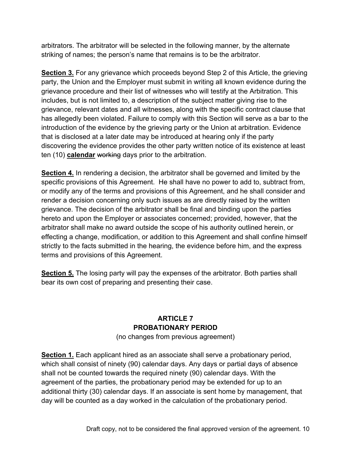arbitrators. The arbitrator will be selected in the following manner, by the alternate striking of names; the person's name that remains is to be the arbitrator.

**Section 3.** For any grievance which proceeds beyond Step 2 of this Article, the grieving party, the Union and the Employer must submit in writing all known evidence during the grievance procedure and their list of witnesses who will testify at the Arbitration. This includes, but is not limited to, a description of the subject matter giving rise to the grievance, relevant dates and all witnesses, along with the specific contract clause that has allegedly been violated. Failure to comply with this Section will serve as a bar to the introduction of the evidence by the grieving party or the Union at arbitration. Evidence that is disclosed at a later date may be introduced at hearing only if the party discovering the evidence provides the other party written notice of its existence at least ten (10) **calendar** working days prior to the arbitration.

**Section 4.** In rendering a decision, the arbitrator shall be governed and limited by the specific provisions of this Agreement. He shall have no power to add to, subtract from, or modify any of the terms and provisions of this Agreement, and he shall consider and render a decision concerning only such issues as are directly raised by the written grievance. The decision of the arbitrator shall be final and binding upon the parties hereto and upon the Employer or associates concerned; provided, however, that the arbitrator shall make no award outside the scope of his authority outlined herein, or effecting a change, modification, or addition to this Agreement and shall confine himself strictly to the facts submitted in the hearing, the evidence before him, and the express terms and provisions of this Agreement.

**Section 5.** The losing party will pay the expenses of the arbitrator. Both parties shall bear its own cost of preparing and presenting their case.

### **ARTICLE 7 PROBATIONARY PERIOD**

(no changes from previous agreement)

**Section 1.** Each applicant hired as an associate shall serve a probationary period, which shall consist of ninety (90) calendar days. Any days or partial days of absence shall not be counted towards the required ninety (90) calendar days. With the agreement of the parties, the probationary period may be extended for up to an additional thirty (30) calendar days. If an associate is sent home by management, that day will be counted as a day worked in the calculation of the probationary period.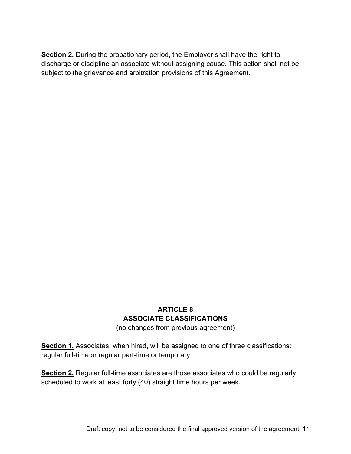**Section 2.** During the probationary period, the Employer shall have the right to discharge or discipline an associate without assigning cause. This action shall not be subject to the grievance and arbitration provisions of this Agreement.

# **ARTICLE 8 ASSOCIATE CLASSIFICATIONS**

(no changes from previous agreement)

**Section 1.** Associates, when hired, will be assigned to one of three classifications: regular full-time or regular part-time or temporary.

**Section 2,** Regular full-time associates are those associates who could be regularly scheduled to work at least forty (40) straight time hours per week.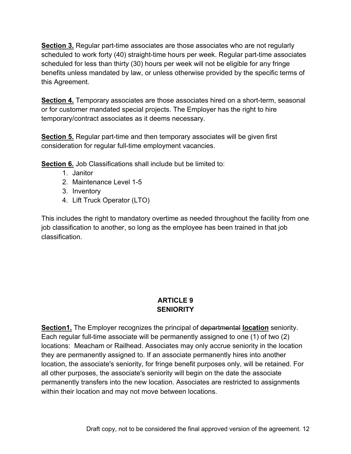**Section 3.** Regular part-time associates are those associates who are not regularly scheduled to work forty (40) straight-time hours per week. Regular part-time associates scheduled for less than thirty (30) hours per week will not be eligible for any fringe benefits unless mandated by law, or unless otherwise provided by the specific terms of this Agreement.

**Section 4.** Temporary associates are those associates hired on a short-term, seasonal or for customer mandated special projects. The Employer has the right to hire temporary/contract associates as it deems necessary.

**Section 5.** Regular part-time and then temporary associates will be given first consideration for regular full-time employment vacancies.

**Section 6.** Job Classifications shall include but be limited to:

- 1. Janitor
- 2. Maintenance Level 1-5
- 3. Inventory
- 4. Lift Truck Operator (LTO)

This includes the right to mandatory overtime as needed throughout the facility from one job classification to another, so long as the employee has been trained in that job classification.

## **ARTICLE 9 SENIORITY**

**Section1.** The Employer recognizes the principal of departmental **location** seniority. Each regular full-time associate will be permanently assigned to one (1) of two (2) locations: Meacham or Railhead. Associates may only accrue seniority in the location they are permanently assigned to. If an associate permanently hires into another location, the associate's seniority, for fringe benefit purposes only, will be retained. For all other purposes, the associate's seniority will begin on the date the associate permanently transfers into the new location. Associates are restricted to assignments within their location and may not move between locations.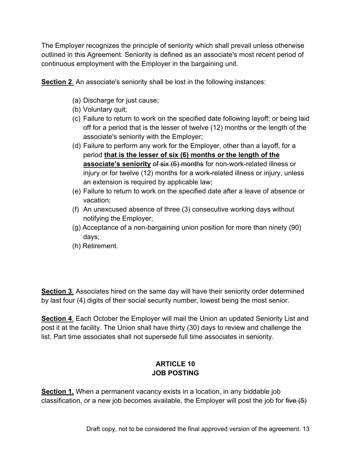The Employer recognizes the principle of seniority which shall prevail unless otherwise outlined in this Agreement. Seniority is defined as an associate's most recent period of continuous employment with the Employer in the bargaining unit.

**Section 2.** An associate's seniority shall be lost in the following instances:

- (a) Discharge for just cause;
- (b) Voluntary quit;
- (c) Failure to return to work on the specified date following layoff; or being laid off for a period that is the lesser of twelve (12) months or the length of the associate's seniority with the Employer;
- (d) Failure to perform any work for the Employer, other than a layoff, for a period **that is the lesser of six (6) months or the length of the associate's seniority** of six (6) months for non-work-related illness or injury or for twelve (12) months for a work-related illness or injury, unless an extension is required by applicable law;
- (e) Failure to return to work on the specified date after a leave of absence or vacation;
- (f) An unexcused absence of three (3) consecutive working days without notifying the Employer;
- (g) Acceptance of a non-bargaining union position for more than ninety (90) days;
- (h) Retirement.

**Section 3**. Associates hired on the same day will have their seniority order determined by last four (4) digits of their social security number, lowest being the most senior.

**Section 4**. Each October the Employer will mail the Union an updated Seniority List and post it at the facility. The Union shall have thirty (30) days to review and challenge the list. Part time associates shall not supersede full time associates in seniority.

## **ARTICLE 10 JOB POSTING**

**Section 1.** When a permanent vacancy exists in a location, in any biddable job classification, or a new job becomes available, the Employer will post the job for five  $(5)$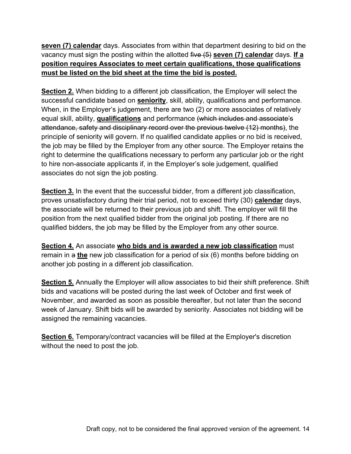**seven (7) calendar** days. Associates from within that department desiring to bid on the vacancy must sign the posting within the allotted five (5) **seven (7) calendar** days. **If a position requires Associates to meet certain qualifications, those qualifications must be listed on the bid sheet at the time the bid is posted.**

**Section 2.** When bidding to a different job classification, the Employer will select the successful candidate based on **seniority**, skill, ability, qualifications and performance. When, in the Employer's judgement, there are two (2) or more associates of relatively equal skill, ability, **qualifications** and performance (which includes and associate's attendance, safety and disciplinary record over the previous twelve (12) months), the principle of seniority will govern. If no qualified candidate applies or no bid is received, the job may be filled by the Employer from any other source. The Employer retains the right to determine the qualifications necessary to perform any particular job or the right to hire non-associate applicants if, in the Employer's sole judgement, qualified associates do not sign the job posting.

**Section 3.** In the event that the successful bidder, from a different job classification, proves unsatisfactory during their trial period, not to exceed thirty (30) **calendar** days, the associate will be returned to their previous job and shift. The employer will fill the position from the next qualified bidder from the original job posting. If there are no qualified bidders, the job may be filled by the Employer from any other source.

**Section 4.** An associate **who bids and is awarded a new job classification** must remain in a **the** new job classification for a period of six (6) months before bidding on another job posting in a different job classification.

**Section 5.** Annually the Employer will allow associates to bid their shift preference. Shift bids and vacations will be posted during the last week of October and first week of November, and awarded as soon as possible thereafter, but not later than the second week of January. Shift bids will be awarded by seniority. Associates not bidding will be assigned the remaining vacancies.

**Section 6.** Temporary/contract vacancies will be filled at the Employer's discretion without the need to post the job.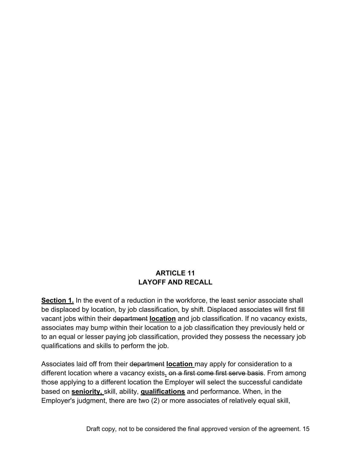### **ARTICLE 11 LAYOFF AND RECALL**

**Section 1.** In the event of a reduction in the workforce, the least senior associate shall be displaced by location, by job classification, by shift. Displaced associates will first fill vacant jobs within their department **location** and job classification. If no vacancy exists, associates may bump within their location to a job classification they previously held or to an equal or lesser paying job classification, provided they possess the necessary job qualifications and skills to perform the job.

Associates laid off from their department **location** may apply for consideration to a different location where a vacancy exists. on a first come first serve basis. From among those applying to a different location the Employer will select the successful candidate based on **seniority,** skill, ability, **qualifications** and performance. When, in the Employer's judgment, there are two (2) or more associates of relatively equal skill,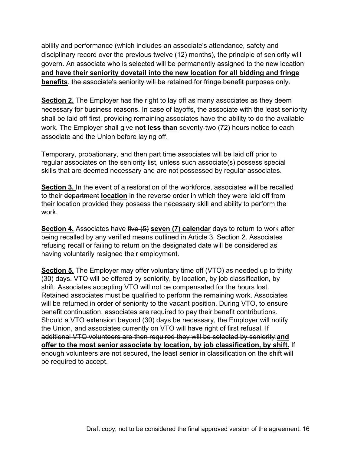ability and performance (which includes an associate's attendance, safety and disciplinary record over the previous twelve (12) months), the principle of seniority will govern. An associate who is selected will be permanently assigned to the new location **and have their seniority dovetail into the new location for all bidding and fringe benefits**. the associate's seniority will be retained for fringe benefit purposes only.

**Section 2.** The Employer has the right to lay off as many associates as they deem necessary for business reasons. In case of layoffs, the associate with the least seniority shall be laid off first, providing remaining associates have the ability to do the available work. The Employer shall give **not less than** seventy-two (72) hours notice to each associate and the Union before laying off.

Temporary, probationary, and then part time associates will be laid off prior to regular associates on the seniority list, unless such associate(s) possess special skills that are deemed necessary and are not possessed by regular associates.

**Section 3.** In the event of a restoration of the workforce, associates will be recalled to their department **location** in the reverse order in which they were laid off from their location provided they possess the necessary skill and ability to perform the work.

**Section 4.** Associates have five (5) **seven (7) calendar** days to return to work after being recalled by any verified means outlined in Article 3, Section 2. Associates refusing recall or failing to return on the designated date will be considered as having voluntarily resigned their employment.

**Section 5.** The Employer may offer voluntary time off (VTO) as needed up to thirty (30) days. VTO will be offered by seniority, by location, by job classification, by shift. Associates accepting VTO will not be compensated for the hours lost. Retained associates must be qualified to perform the remaining work. Associates will be returned in order of seniority to the vacant position. During VTO, to ensure benefit continuation, associates are required to pay their benefit contributions. Should a VTO extension beyond (30) days be necessary, the Employer will notify the Union, and associates currently on VTO will have right of first refusal. If additional VTO volunteers are then required they will be selected by seniority.**and offer to the most senior associate by location, by job classification, by shift.** If enough volunteers are not secured, the least senior in classification on the shift will be required to accept.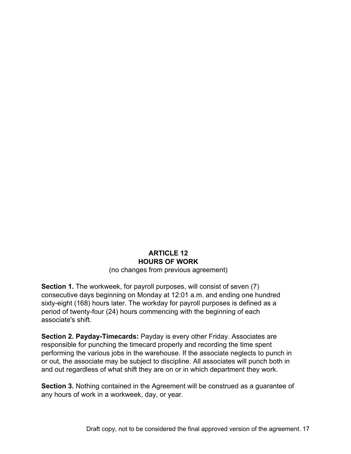# **ARTICLE 12 HOURS OF WORK**

(no changes from previous agreement)

**Section 1.** The workweek, for payroll purposes, will consist of seven (7) consecutive days beginning on Monday at 12:01 a.m. and ending one hundred sixty-eight (168) hours later. The workday for payroll purposes is defined as a period of twenty-four (24) hours commencing with the beginning of each associate's shift.

**Section 2. Payday-Timecards:** Payday is every other Friday. Associates are responsible for punching the timecard properly and recording the time spent performing the various jobs in the warehouse. If the associate neglects to punch in or out, the associate may be subject to discipline. All associates will punch both in and out regardless of what shift they are on or in which department they work.

**Section 3.** Nothing contained in the Agreement will be construed as a guarantee of any hours of work in a workweek, day, or year.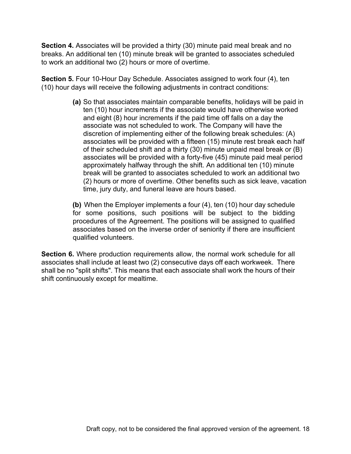**Section 4.** Associates will be provided a thirty (30) minute paid meal break and no breaks. An additional ten (10) minute break will be granted to associates scheduled to work an additional two (2) hours or more of overtime.

**Section 5.** Four 10-Hour Day Schedule. Associates assigned to work four (4), ten (10) hour days will receive the following adjustments in contract conditions:

> **(a)** So that associates maintain comparable benefits, holidays will be paid in ten (10) hour increments if the associate would have otherwise worked and eight (8) hour increments if the paid time off falls on a day the associate was not scheduled to work. The Company will have the discretion of implementing either of the following break schedules: (A) associates will be provided with a fifteen (15) minute rest break each half of their scheduled shift and a thirty (30) minute unpaid meal break or (B) associates will be provided with a forty-five (45) minute paid meal period approximately halfway through the shift. An additional ten (10) minute break will be granted to associates scheduled to work an additional two (2) hours or more of overtime. Other benefits such as sick leave, vacation time, jury duty, and funeral leave are hours based.

**(b)** When the Employer implements a four (4), ten (10) hour day schedule for some positions, such positions will be subject to the bidding procedures of the Agreement. The positions will be assigned to qualified associates based on the inverse order of seniority if there are insufficient qualified volunteers.

**Section 6.** Where production requirements allow, the normal work schedule for all associates shall include at least two (2) consecutive days off each workweek. There shall be no "split shifts". This means that each associate shall work the hours of their shift continuously except for mealtime.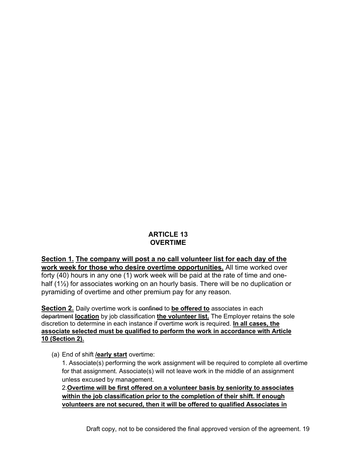## **ARTICLE 13 OVERTIME**

**Section 1. The company will post a no call volunteer list for each day of the work week for those who desire overtime opportunities.** All time worked over forty (40) hours in any one (1) work week will be paid at the rate of time and onehalf (1½) for associates working on an hourly basis. There will be no duplication or pyramiding of overtime and other premium pay for any reason.

**Section 2.** Daily overtime work is confined to be offered to associates in each department **location** by job classification **the volunteer list.** The Employer retains the sole discretion to determine in each instance if overtime work is required. **In all cases, the associate selected must be qualified to perform the work in accordance with Article 10 (Section 2).**

(a) End of shift **/early start** overtime:

1. Associate(s) performing the work assignment will be required to complete all overtime for that assignment. Associate(s) will not leave work in the middle of an assignment unless excused by management.

2.**Overtime will be first offered on a volunteer basis by seniority to associates within the job classification prior to the completion of their shift. If enough volunteers are not secured, then it will be offered to qualified Associates in**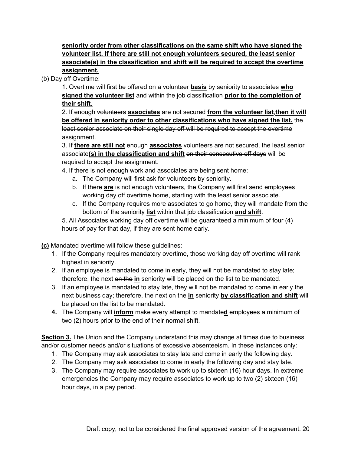**seniority order from other classifications on the same shift who have signed the volunteer list. If there are still not enough volunteers secured, the least senior associate(s) in the classification and shift will be required to accept the overtime assignment.**

(b) Day off Overtime:

1. Overtime will first be offered on a volunteer **basis** by seniority to associates **who signed the volunteer list** and within the job classification **prior to the completion of their shift.**

2. If enough volunteers **associates** are not secured **from the volunteer list**,**then it will be offered in seniority order to other classifications who have signed the list.** the least senior associate on their single day off will be required to accept the overtime assignment.

3. If **there are still not** enough **associates** volunteers are not secured, the least senior associate**(s) in the classification and shift** on their consecutive off days will be required to accept the assignment.

4. If there is not enough work and associates are being sent home:

- a. The Company will first ask for volunteers by seniority.
- b. If there **are** is not enough volunteers, the Company will first send employees working day off overtime home, starting with the least senior associate.
- c. If the Company requires more associates to go home, they will mandate from the bottom of the seniority **list** within that job classification **and shift**.

5. All Associates working day off overtime will be guaranteed a minimum of four (4) hours of pay for that day, if they are sent home early.

**(c)** Mandated overtime will follow these guidelines:

- 1. If the Company requires mandatory overtime, those working day off overtime will rank highest in seniority.
- 2. If an employee is mandated to come in early, they will not be mandated to stay late; therefore, the next on the **in** seniority will be placed on the list to be mandated.
- 3. If an employee is mandated to stay late, they will not be mandated to come in early the next business day; therefore, the next on the **in** seniority **by classification and shift** will be placed on the list to be mandated.
- **4.** The Company will **inform** make every attempt to mandate**d** employees a minimum of two (2) hours prior to the end of their normal shift.

**Section 3.** The Union and the Company understand this may change at times due to business and/or customer needs and/or situations of excessive absenteeism. In these instances only:

- 1. The Company may ask associates to stay late and come in early the following day.
- 2. The Company may ask associates to come in early the following day and stay late.
- 3. The Company may require associates to work up to sixteen (16) hour days. In extreme emergencies the Company may require associates to work up to two (2) sixteen (16) hour days, in a pay period.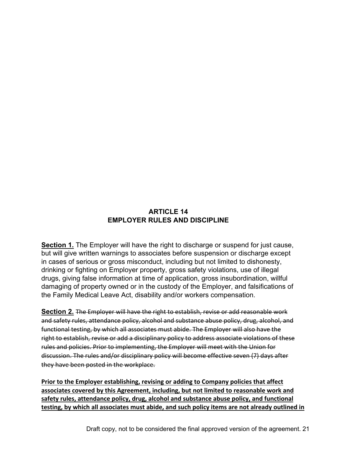## **ARTICLE 14 EMPLOYER RULES AND DISCIPLINE**

**Section 1.** The Employer will have the right to discharge or suspend for just cause, but will give written warnings to associates before suspension or discharge except in cases of serious or gross misconduct, including but not limited to dishonesty, drinking or fighting on Employer property, gross safety violations, use of illegal drugs, giving false information at time of application, gross insubordination, willful damaging of property owned or in the custody of the Employer, and falsifications of the Family Medical Leave Act, disability and/or workers compensation.

**Section 2.** The Employer will have the right to establish, revise or add reasonable work and safety rules, attendance policy, alcohol and substance abuse policy, drug, alcohol, and functional testing, by which all associates must abide. The Employer will also have the right to establish, revise or add a disciplinary policy to address associate violations of these rules and policies. Prior to implementing, the Employer will meet with the Union for discussion. The rules and/or disciplinary policy will become effective seven (7) days after they have been posted in the workplace.

**Prior to the Employer establishing, revising or adding to Company policies that affect associates covered by this Agreement, including, but not limited to reasonable work and safety rules, attendance policy, drug, alcohol and substance abuse policy, and functional testing, by which all associates must abide, and such policy items are not already outlined in**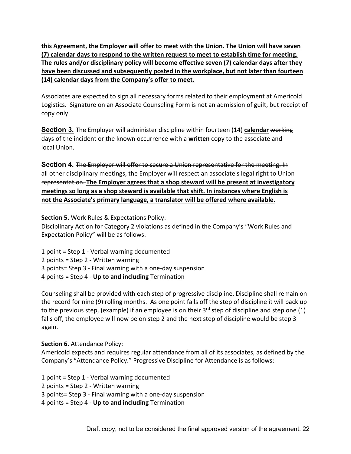**this Agreement, the Employer will offer to meet with the Union. The Union will have seven (7) calendar days to respond to the written request to meet to establish time for meeting. The rules and/or disciplinary policy will become effective seven (7) calendar days after they have been discussed and subsequently posted in the workplace, but not later than fourteen (14) calendar days from the Company's offer to meet.**

Associates are expected to sign all necessary forms related to their employment at Americold Logistics. Signature on an Associate Counseling Form is not an admission of guilt, but receipt of copy only.

**Section 3.** The Employer will administer discipline within fourteen (14) **calendar** working days of the incident or the known occurrence with a **written** copy to the associate and local Union.

**Section 4.** The Employer will offer to secure a Union representative for the meeting. In all other disciplinary meetings, the Employer will respect an associate's legal right to Union representation. **The Employer agrees that a shop steward will be present at investigatory meetings so long as a shop steward is available that shift. In instances where English is not the Associate's primary language, a translator will be offered where available.**

**Section 5.** Work Rules & Expectations Policy:

Disciplinary Action for Category 2 violations as defined in the Company's "Work Rules and Expectation Policy" will be as follows:

1 point = Step 1 - Verbal warning documented 2 points = Step 2 - Written warning 3 points= Step 3 - Final warning with a one-day suspension 4 points = Step 4 - **Up to and including** Termination

Counseling shall be provided with each step of progressive discipline. Discipline shall remain on the record for nine (9) rolling months. As one point falls off the step of discipline it will back up to the previous step, (example) if an employee is on their  $3<sup>rd</sup>$  step of discipline and step one (1) falls off, the employee will now be on step 2 and the next step of discipline would be step 3 again.

**Section 6.** Attendance Policy:

Americold expects and requires regular attendance from all of its associates, as defined by the Company's "Attendance Policy." Progressive Discipline for Attendance is as follows:

1 point = Step 1 - Verbal warning documented

2 points = Step 2 - Written warning

3 points= Step 3 - Final warning with a one-day suspension

4 points = Step 4 - **Up to and including** Termination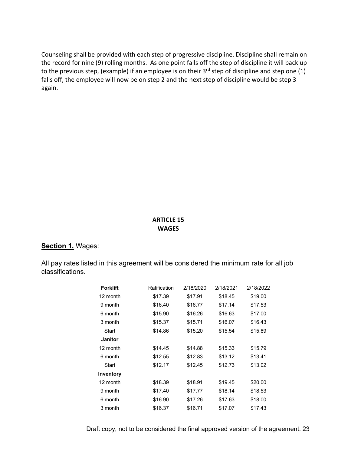Counseling shall be provided with each step of progressive discipline. Discipline shall remain on the record for nine (9) rolling months. As one point falls off the step of discipline it will back up to the previous step, (example) if an employee is on their 3<sup>rd</sup> step of discipline and step one (1) falls off, the employee will now be on step 2 and the next step of discipline would be step 3 again.

#### **ARTICLE 15 WAGES**

#### **Section 1.** Wages:

All pay rates listed in this agreement will be considered the minimum rate for all job classifications.

| <b>Forklift</b> | Ratification | 2/18/2020 | 2/18/2021 | 2/18/2022 |
|-----------------|--------------|-----------|-----------|-----------|
| 12 month        | \$17.39      | \$17.91   | \$18.45   | \$19.00   |
| 9 month         | \$16.40      | \$16.77   | \$17.14   | \$17.53   |
| 6 month         | \$15.90      | \$16.26   | \$16.63   | \$17.00   |
| 3 month         | \$15.37      | \$15.71   | \$16.07   | \$16.43   |
| Start           | \$14.86      | \$15.20   | \$15.54   | \$15.89   |
| <b>Janitor</b>  |              |           |           |           |
| 12 month        | \$14.45      | \$14.88   | \$15.33   | \$15.79   |
| 6 month         | \$12.55      | \$12.83   | \$13.12   | \$13.41   |
| Start           | \$12.17      | \$12.45   | \$12.73   | \$13.02   |
| Inventory       |              |           |           |           |
| 12 month        | \$18.39      | \$18.91   | \$19.45   | \$20.00   |
| 9 month         | \$17.40      | \$17.77   | \$18.14   | \$18.53   |
| 6 month         | \$16.90      | \$17.26   | \$17.63   | \$18.00   |
| 3 month         | \$16.37      | \$16.71   | \$17.07   | \$17.43   |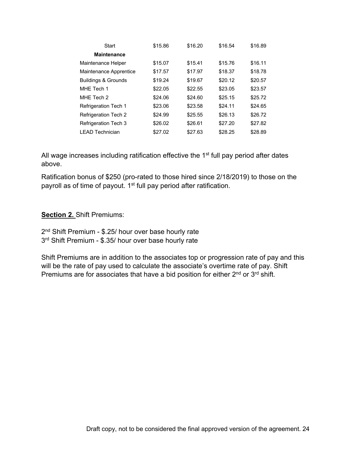| <b>Start</b>                   | \$15.86 | \$16.20 | \$16.54 | \$16.89 |
|--------------------------------|---------|---------|---------|---------|
| <b>Maintenance</b>             |         |         |         |         |
| Maintenance Helper             | \$15.07 | \$15.41 | \$15.76 | \$16.11 |
| Maintenance Apprentice         | \$17.57 | \$17.97 | \$18.37 | \$18.78 |
| <b>Buildings &amp; Grounds</b> | \$19.24 | \$19.67 | \$20.12 | \$20.57 |
| MHE Tech 1                     | \$22.05 | \$22.55 | \$23.05 | \$23.57 |
| MHE Tech 2                     | \$24.06 | \$24.60 | \$25.15 | \$25.72 |
| <b>Refrigeration Tech 1</b>    | \$23.06 | \$23.58 | \$24.11 | \$24.65 |
| <b>Refrigeration Tech 2</b>    | \$24.99 | \$25.55 | \$26.13 | \$26.72 |
| <b>Refrigeration Tech 3</b>    | \$26.02 | \$26.61 | \$27.20 | \$27.82 |
| <b>LEAD Technician</b>         | \$27.02 | \$27.63 | \$28.25 | \$28.89 |

All wage increases including ratification effective the  $1<sup>st</sup>$  full pay period after dates above.

Ratification bonus of \$250 (pro-rated to those hired since 2/18/2019) to those on the payroll as of time of payout. 1<sup>st</sup> full pay period after ratification.

#### **Section 2.** Shift Premiums:

2<sup>nd</sup> Shift Premium - \$.25/ hour over base hourly rate 3rd Shift Premium - \$.35/ hour over base hourly rate

Shift Premiums are in addition to the associates top or progression rate of pay and this will be the rate of pay used to calculate the associate's overtime rate of pay. Shift Premiums are for associates that have a bid position for either 2<sup>nd</sup> or 3<sup>rd</sup> shift.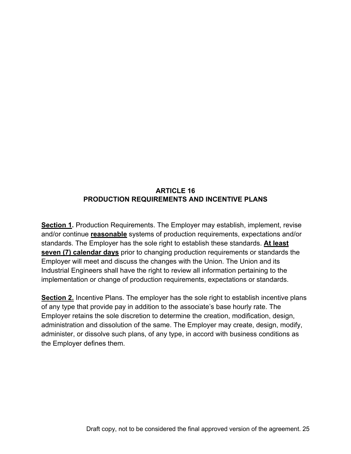## **ARTICLE 16 PRODUCTION REQUIREMENTS AND INCENTIVE PLANS**

**Section 1.** Production Requirements. The Employer may establish, implement, revise and/or continue **reasonable** systems of production requirements, expectations and/or standards. The Employer has the sole right to establish these standards. **At least seven (7) calendar days** prior to changing production requirements or standards the Employer will meet and discuss the changes with the Union. The Union and its Industrial Engineers shall have the right to review all information pertaining to the implementation or change of production requirements, expectations or standards.

**Section 2.** Incentive Plans. The employer has the sole right to establish incentive plans of any type that provide pay in addition to the associate's base hourly rate. The Employer retains the sole discretion to determine the creation, modification, design, administration and dissolution of the same. The Employer may create, design, modify, administer, or dissolve such plans, of any type, in accord with business conditions as the Employer defines them.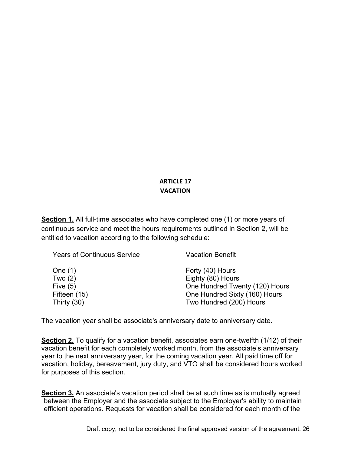# **ARTICLE 17 VACATION**

**Section 1.** All full-time associates who have completed one (1) or more years of continuous service and meet the hours requirements outlined in Section 2, will be entitled to vacation according to the following schedule:

| <b>Years of Continuous Service</b> | <b>Vacation Benefit</b>        |
|------------------------------------|--------------------------------|
| One $(1)$                          | Forty (40) Hours               |
| Two $(2)$                          | Eighty (80) Hours              |
| Five $(5)$                         | One Hundred Twenty (120) Hours |
| Fifteen (15)                       | -One Hundred Sixty (160) Hours |
| Thirty $(30)$                      | -Two Hundred (200) Hours       |

The vacation year shall be associate's anniversary date to anniversary date.

**Section 2.** To qualify for a vacation benefit, associates earn one-twelfth (1/12) of their vacation benefit for each completely worked month, from the associate's anniversary year to the next anniversary year, for the coming vacation year. All paid time off for vacation, holiday, bereavement, jury duty, and VTO shall be considered hours worked for purposes of this section.

**Section 3.** An associate's vacation period shall be at such time as is mutually agreed between the Employer and the associate subject to the Employer's ability to maintain efficient operations. Requests for vacation shall be considered for each month of the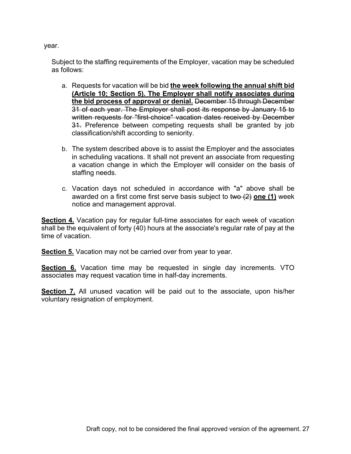year.

Subject to the staffing requirements of the Employer, vacation may be scheduled as follows:

- a. Requests for vacation will be bid **the week following the annual shift bid (Article 10; Section 5). The Employer shall notify associates during the bid process of approval or denial.** December 15 through December 31 of each year. The Employer shall post its response by January 15 to written requests for "first-choice" vacation dates received by December 31. Preference between competing requests shall be granted by job classification/shift according to seniority.
- b. The system described above is to assist the Employer and the associates in scheduling vacations. It shall not prevent an associate from requesting a vacation change in which the Employer will consider on the basis of staffing needs.
- c. Vacation days not scheduled in accordance with "a" above shall be awarded on a first come first serve basis subject to two (2) **one (1)** week notice and management approval.

**Section 4.** Vacation pay for regular full-time associates for each week of vacation shall be the equivalent of forty (40) hours at the associate's regular rate of pay at the time of vacation.

**Section 5.** Vacation may not be carried over from year to year.

**Section 6.** Vacation time may be requested in single day increments. VTO associates may request vacation time in half-day increments.

**Section 7.** All unused vacation will be paid out to the associate, upon his/her voluntary resignation of employment.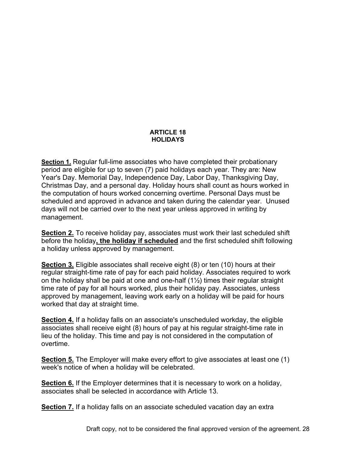#### **ARTICLE 18 HOLIDAYS**

**Section 1.** Regular full-lime associates who have completed their probationary period are eligible for up to seven (7) paid holidays each year. They are: New Year's Day. Memorial Day, Independence Day, Labor Day, Thanksgiving Day, Christmas Day, and a personal day. Holiday hours shall count as hours worked in the computation of hours worked concerning overtime. Personal Days must be scheduled and approved in advance and taken during the calendar year. Unused days will not be carried over to the next year unless approved in writing by management.

**Section 2.** To receive holiday pay, associates must work their last scheduled shift before the holiday**, the holiday if scheduled** and the first scheduled shift following a holiday unless approved by management.

**Section 3.** Eligible associates shall receive eight (8) or ten (10) hours at their regular straight-time rate of pay for each paid holiday. Associates required to work on the holiday shall be paid at one and one-half (1½) times their regular straight time rate of pay for all hours worked, plus their holiday pay. Associates, unless approved by management, leaving work early on a holiday will be paid for hours worked that day at straight time.

**Section 4.** If a holiday falls on an associate's unscheduled workday, the eligible associates shall receive eight (8) hours of pay at his regular straight-time rate in lieu of the holiday. This time and pay is not considered in the computation of overtime.

**Section 5.** The Employer will make every effort to give associates at least one (1) week's notice of when a holiday will be celebrated.

**Section 6.** If the Employer determines that it is necessary to work on a holiday, associates shall be selected in accordance with Article 13.

**Section 7.** If a holiday falls on an associate scheduled vacation day an extra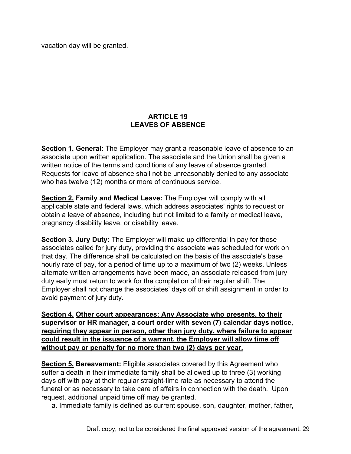vacation day will be granted.

### **ARTICLE 19 LEAVES OF ABSENCE**

**Section 1. General:** The Employer may grant a reasonable leave of absence to an associate upon written application. The associate and the Union shall be given a written notice of the terms and conditions of any leave of absence granted. Requests for leave of absence shall not be unreasonably denied to any associate who has twelve (12) months or more of continuous service.

**Section 2. Family and Medical Leave:** The Employer will comply with all applicable state and federal laws, which address associates' rights to request or obtain a leave of absence, including but not limited to a family or medical leave, pregnancy disability leave, or disability leave.

**Section 3. Jury Duty:** The Employer will make up differential in pay for those associates called for jury duty, providing the associate was scheduled for work on that day. The difference shall be calculated on the basis of the associate's base hourly rate of pay, for a period of time up to a maximum of two (2) weeks. Unless alternate written arrangements have been made, an associate released from jury duty early must return to work for the completion of their regular shift. The Employer shall not change the associates' days off or shift assignment in order to avoid payment of jury duty.

**Section 4. Other court appearances: Any Associate who presents, to their supervisor or HR manager, a court order with seven (7) calendar days notice, requiring they appear in person, other than jury duty, where failure to appear could result in the issuance of a warrant, the Employer will allow time off without pay or penalty for no more than two (2) days per year.**

**Section 5. Bereavement:** Eligible associates covered by this Agreement who suffer a death in their immediate family shall be allowed up to three (3) working days off with pay at their regular straight-time rate as necessary to attend the funeral or as necessary to take care of affairs in connection with the death. Upon request, additional unpaid time off may be granted.

a. Immediate family is defined as current spouse, son, daughter, mother, father,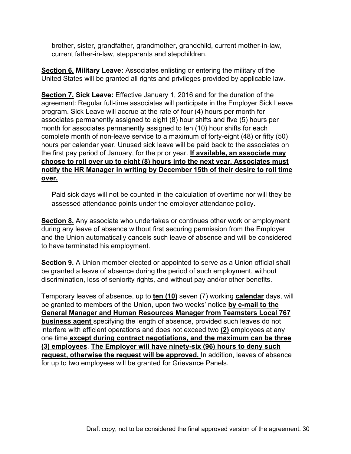brother, sister, grandfather, grandmother, grandchild, current mother-in-law, current father-in-law, stepparents and stepchildren.

**Section 6. Military Leave:** Associates enlisting or entering the military of the United States will be granted all rights and privileges provided by applicable law.

**Section 7. Sick Leave:** Effective January 1, 2016 and for the duration of the agreement: Regular full-time associates will participate in the Employer Sick Leave program. Sick Leave will accrue at the rate of four (4) hours per month for associates permanently assigned to eight (8) hour shifts and five (5) hours per month for associates permanently assigned to ten (10) hour shifts for each complete month of non-leave service to a maximum of forty-eight (48) or fifty (50) hours per calendar year. Unused sick leave will be paid back to the associates on the first pay period of January, for the prior year. **If available, an associate may choose to roll over up to eight (8) hours into the next year. Associates must notify the HR Manager in writing by December 15th of their desire to roll time over.**

Paid sick days will not be counted in the calculation of overtime nor will they be assessed attendance points under the employer attendance policy.

**Section 8.** Any associate who undertakes or continues other work or employment during any leave of absence without first securing permission from the Employer and the Union automatically cancels such leave of absence and will be considered to have terminated his employment.

**Section 9.** A Union member elected or appointed to serve as a Union official shall be granted a leave of absence during the period of such employment, without discrimination, loss of seniority rights, and without pay and/or other benefits.

Temporary leaves of absence, up to **ten (10)** seven (7) working **calendar** days, will be granted to members of the Union, upon two weeks' notice **by e-mail to the General Manager and Human Resources Manager from Teamsters Local 767 business agent** specifying the length of absence, provided such leaves do not interfere with efficient operations and does not exceed two **(2)** employees at any one time **except during contract negotiations, and the maximum can be three (3) employees**. **The Employer will have ninety-six (96) hours to deny such request, otherwise the request will be approved.** In addition, leaves of absence for up to two employees will be granted for Grievance Panels.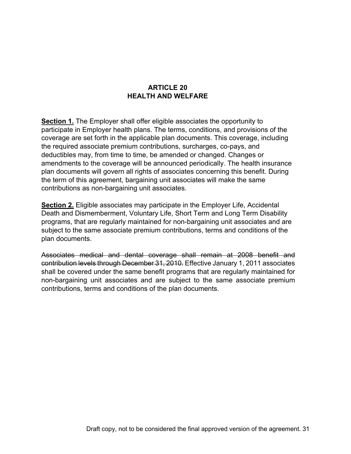### **ARTICLE 20 HEALTH AND WELFARE**

**Section 1.** The Employer shall offer eligible associates the opportunity to participate in Employer health plans. The terms, conditions, and provisions of the coverage are set forth in the applicable plan documents. This coverage, including the required associate premium contributions, surcharges, co-pays, and deductibles may, from time to time, be amended or changed. Changes or amendments to the coverage will be announced periodically. The health insurance plan documents will govern all rights of associates concerning this benefit. During the term of this agreement, bargaining unit associates will make the same contributions as non-bargaining unit associates.

**Section 2.** Eligible associates may participate in the Employer Life, Accidental Death and Dismemberment, Voluntary Life, Short Term and Long Term Disability programs, that are regularly maintained for non-bargaining unit associates and are subject to the same associate premium contributions, terms and conditions of the plan documents.

Associates medical and dental coverage shall remain at 2008 benefit and contribution levels through December 31, 2010. Effective January 1, 2011 associates shall be covered under the same benefit programs that are regularly maintained for non-bargaining unit associates and are subject to the same associate premium contributions, terms and conditions of the plan documents.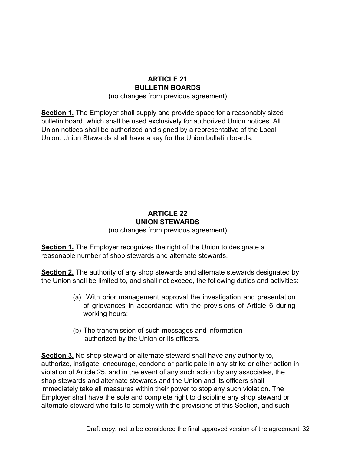## **ARTICLE 21 BULLETIN BOARDS**

(no changes from previous agreement)

**Section 1.** The Employer shall supply and provide space for a reasonably sized bulletin board, which shall be used exclusively for authorized Union notices. All Union notices shall be authorized and signed by a representative of the Local Union. Union Stewards shall have a key for the Union bulletin boards.

# **ARTICLE 22 UNION STEWARDS**

(no changes from previous agreement)

**Section 1.** The Employer recognizes the right of the Union to designate a reasonable number of shop stewards and alternate stewards.

**Section 2.** The authority of any shop stewards and alternate stewards designated by the Union shall be limited to, and shall not exceed, the following duties and activities:

- (a) With prior management approval the investigation and presentation of grievances in accordance with the provisions of Article 6 during working hours;
- (b) The transmission of such messages and information authorized by the Union or its officers.

**Section 3.** No shop steward or alternate steward shall have any authority to, authorize, instigate, encourage, condone or participate in any strike or other action in violation of Article 25, and in the event of any such action by any associates, the shop stewards and alternate stewards and the Union and its officers shall immediately take all measures within their power to stop any such violation. The Employer shall have the sole and complete right to discipline any shop steward or alternate steward who fails to comply with the provisions of this Section, and such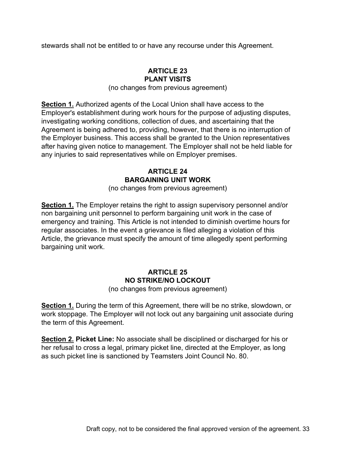stewards shall not be entitled to or have any recourse under this Agreement.

### **ARTICLE 23 PLANT VISITS**

(no changes from previous agreement)

**Section 1.** Authorized agents of the Local Union shall have access to the Employer's establishment during work hours for the purpose of adjusting disputes, investigating working conditions, collection of dues, and ascertaining that the Agreement is being adhered to, providing, however, that there is no interruption of the Employer business. This access shall be granted to the Union representatives after having given notice to management. The Employer shall not be held liable for any injuries to said representatives while on Employer premises.

## **ARTICLE 24 BARGAINING UNIT WORK**

(no changes from previous agreement)

**Section 1.** The Employer retains the right to assign supervisory personnel and/or non bargaining unit personnel to perform bargaining unit work in the case of emergency and training. This Article is not intended to diminish overtime hours for regular associates. In the event a grievance is filed alleging a violation of this Article, the grievance must specify the amount of time allegedly spent performing bargaining unit work.

## **ARTICLE 25 NO STRIKE/NO LOCKOUT**

(no changes from previous agreement)

**Section 1.** During the term of this Agreement, there will be no strike, slowdown, or work stoppage. The Employer will not lock out any bargaining unit associate during the term of this Agreement.

**Section 2. Picket Line:** No associate shall be disciplined or discharged for his or her refusal to cross a legal, primary picket line, directed at the Employer, as long as such picket line is sanctioned by Teamsters Joint Council No. 80.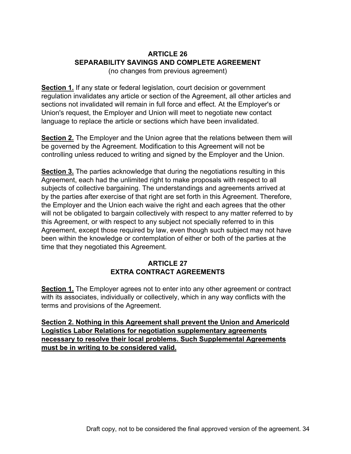# **ARTICLE 26 SEPARABILITY SAVINGS AND COMPLETE AGREEMENT**

(no changes from previous agreement)

**Section 1.** If any state or federal legislation, court decision or government regulation invalidates any article or section of the Agreement, all other articles and sections not invalidated will remain in full force and effect. At the Employer's or Union's request, the Employer and Union will meet to negotiate new contact language to replace the article or sections which have been invalidated.

**Section 2.** The Employer and the Union agree that the relations between them will be governed by the Agreement. Modification to this Agreement will not be controlling unless reduced to writing and signed by the Employer and the Union.

**Section 3.** The parties acknowledge that during the negotiations resulting in this Agreement, each had the unlimited right to make proposals with respect to all subjects of collective bargaining. The understandings and agreements arrived at by the parties after exercise of that right are set forth in this Agreement. Therefore, the Employer and the Union each waive the right and each agrees that the other will not be obligated to bargain collectively with respect to any matter referred to by this Agreement, or with respect to any subject not specially referred to in this Agreement, except those required by law, even though such subject may not have been within the knowledge or contemplation of either or both of the parties at the time that they negotiated this Agreement.

### **ARTICLE 27 EXTRA CONTRACT AGREEMENTS**

**Section 1.** The Employer agrees not to enter into any other agreement or contract with its associates, individually or collectively, which in any way conflicts with the terms and provisions of the Agreement.

**Section 2. Nothing in this Agreement shall prevent the Union and Americold Logistics Labor Relations for negotiation supplementary agreements necessary to resolve their local problems. Such Supplemental Agreements must be in writing to be considered valid.**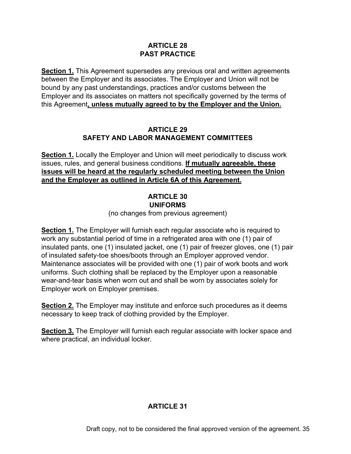#### **ARTICLE 28 PAST PRACTICE**

**Section 1.** This Agreement supersedes any previous oral and written agreements between the Employer and its associates. The Employer and Union will not be bound by any past understandings, practices and/or customs between the Employer and its associates on matters not specifically governed by the terms of this Agreement**, unless mutually agreed to by the Employer and the Union.**

### **ARTICLE 29 SAFETY AND LABOR MANAGEMENT COMMITTEES**

**Section 1.** Locally the Employer and Union will meet periodically to discuss work issues, rules, and general business conditions. **If mutually agreeable, these issues will be heard at the regularly scheduled meeting between the Union and the Employer as outlined in Article 6A of this Agreement.**

### **ARTICLE 30 UNIFORMS**

(no changes from previous agreement)

**Section 1.** The Employer will furnish each regular associate who is required to work any substantial period of time in a refrigerated area with one (1) pair of insulated pants, one (1) insulated jacket, one (1) pair of freezer gloves, one (1) pair of insulated safety-toe shoes/boots through an Employer approved vendor. Maintenance associates will be provided with one (1) pair of work boots and work uniforms. Such clothing shall be replaced by the Employer upon a reasonable wear-and-tear basis when worn out and shall be worn by associates solely for Employer work on Employer premises.

**Section 2.** The Employer may institute and enforce such procedures as it deems necessary to keep track of clothing provided by the Employer.

**Section 3.** The Employer will furnish each regular associate with locker space and where practical, an individual locker.

### **ARTICLE 31**